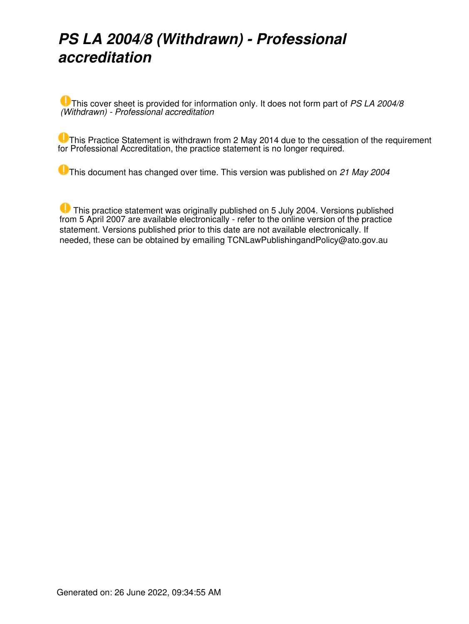## *PS LA 2004/8 (Withdrawn) - Professional accreditation*

This cover sheet is provided for information only. It does not form part of *PS LA 2004/8 (Withdrawn) - Professional accreditation*

**This Practice Statement is withdrawn from 2 May 2014 due to the cessation of the requirement** for Professional Accreditation, the practice statement is no longer required.

This document has changed over time. This version was published on *21 May 2004*

**This practice statement was originally published on 5 July 2004. Versions published** from 5 April 2007 are available electronically - refer to the online version of the practice statement. Versions published prior to this date are not available electronically. If needed, these can be obtained by emailing TCNLawPublishingandPolicy@ato.gov.au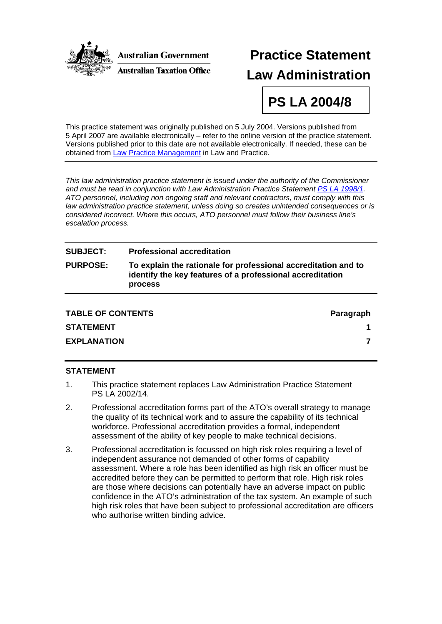

# **Practice Statement Law Administration**

**PS LA 2004/8** 

This practice statement was originally published on 5 July 2004. Versions published from 5 April 2007 are available electronically – refer to the online version of the practice statement. Versions published prior to this date are not available electronically. If needed, these can be obtained from [Law Practice Management](mailto:LPSMaintenanceandSupport@ato.gov.au) in Law and Practice.

*This law administration practice statement is issued under the authority of the Commissioner and must be read in conjunction with Law Administration Practice Statement [PS LA 1998/1.](http://law.ato.gov.au/view.htm?DocID=PSR/PS19981/NAT/ATO/00001) ATO personnel, including non ongoing staff and relevant contractors, must comply with this law administration practice statement, unless doing so creates unintended consequences or is considered incorrect. Where this occurs, ATO personnel must follow their business line's escalation process.* 

| <b>SUBJECT:</b> | <b>Professional accreditation</b>                                                                                                             |
|-----------------|-----------------------------------------------------------------------------------------------------------------------------------------------|
| <b>PURPOSE:</b> | To explain the rationale for professional accreditation and to<br>identify the key features of a professional accreditation<br><b>process</b> |
|                 |                                                                                                                                               |

| <b>TABLE OF CONTENTS</b> | Paragraph |
|--------------------------|-----------|
| <b>STATEMENT</b>         |           |
| <b>EXPLANATION</b>       |           |

#### **STATEMENT**

- 1. This practice statement replaces Law Administration Practice Statement PS LA 2002/14.
- 2. Professional accreditation forms part of the ATO's overall strategy to manage the quality of its technical work and to assure the capability of its technical workforce. Professional accreditation provides a formal, independent assessment of the ability of key people to make technical decisions.
- 3. Professional accreditation is focussed on high risk roles requiring a level of independent assurance not demanded of other forms of capability assessment. Where a role has been identified as high risk an officer must be accredited before they can be permitted to perform that role. High risk roles are those where decisions can potentially have an adverse impact on public confidence in the ATO's administration of the tax system. An example of such high risk roles that have been subject to professional accreditation are officers who authorise written binding advice.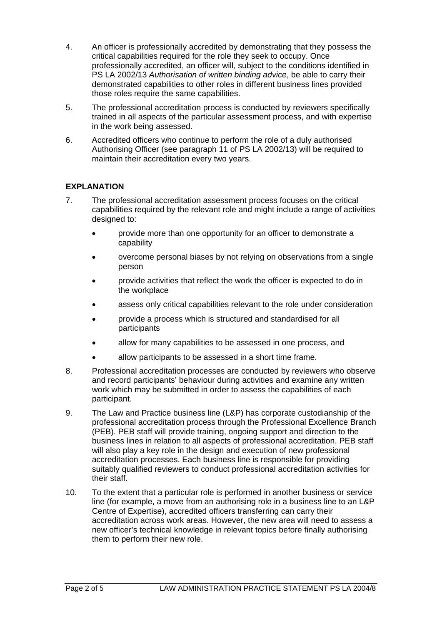- 4. An officer is professionally accredited by demonstrating that they possess the critical capabilities required for the role they seek to occupy. Once professionally accredited, an officer will, subject to the conditions identified in PS LA 2002/13 *Authorisation of written binding advice*, be able to carry their demonstrated capabilities to other roles in different business lines provided those roles require the same capabilities.
- 5. The professional accreditation process is conducted by reviewers specifically trained in all aspects of the particular assessment process, and with expertise in the work being assessed.
- 6. Accredited officers who continue to perform the role of a duly authorised Authorising Officer (see paragraph 11 of PS LA 2002/13) will be required to maintain their accreditation every two years.

#### **EXPLANATION**

- 7. The professional accreditation assessment process focuses on the critical capabilities required by the relevant role and might include a range of activities designed to:
	- provide more than one opportunity for an officer to demonstrate a capability
	- overcome personal biases by not relying on observations from a single person
	- provide activities that reflect the work the officer is expected to do in the workplace
	- assess only critical capabilities relevant to the role under consideration
	- provide a process which is structured and standardised for all participants
	- allow for many capabilities to be assessed in one process, and
	- allow participants to be assessed in a short time frame.
- 8. Professional accreditation processes are conducted by reviewers who observe and record participants' behaviour during activities and examine any written work which may be submitted in order to assess the capabilities of each participant.
- 9. The Law and Practice business line (L&P) has corporate custodianship of the professional accreditation process through the Professional Excellence Branch (PEB). PEB staff will provide training, ongoing support and direction to the business lines in relation to all aspects of professional accreditation. PEB staff will also play a key role in the design and execution of new professional accreditation processes. Each business line is responsible for providing suitably qualified reviewers to conduct professional accreditation activities for their staff.
- 10. To the extent that a particular role is performed in another business or service line (for example, a move from an authorising role in a business line to an L&P Centre of Expertise), accredited officers transferring can carry their accreditation across work areas. However, the new area will need to assess a new officer's technical knowledge in relevant topics before finally authorising them to perform their new role.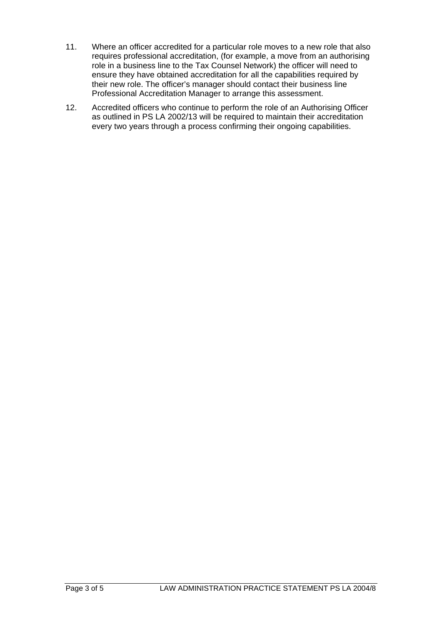- 11. Where an officer accredited for a particular role moves to a new role that also requires professional accreditation, (for example, a move from an authorising role in a business line to the Tax Counsel Network) the officer will need to ensure they have obtained accreditation for all the capabilities required by their new role. The officer's manager should contact their business line Professional Accreditation Manager to arrange this assessment.
- 12. Accredited officers who continue to perform the role of an Authorising Officer as outlined in PS LA 2002/13 will be required to maintain their accreditation every two years through a process confirming their ongoing capabilities.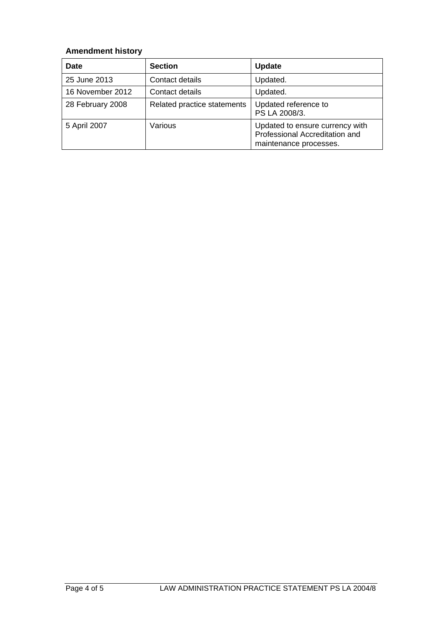### **Amendment history**

| <b>Date</b>      | <b>Section</b>              | <b>Update</b>                                                                               |
|------------------|-----------------------------|---------------------------------------------------------------------------------------------|
| 25 June 2013     | Contact details             | Updated.                                                                                    |
| 16 November 2012 | Contact details             | Updated.                                                                                    |
| 28 February 2008 | Related practice statements | Updated reference to<br>PS LA 2008/3.                                                       |
| 5 April 2007     | Various                     | Updated to ensure currency with<br>Professional Accreditation and<br>maintenance processes. |